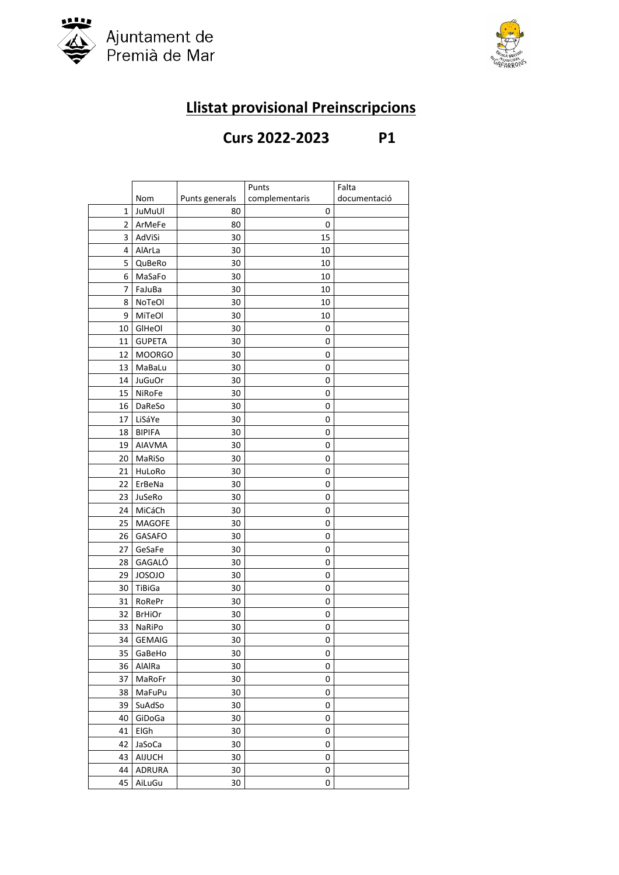



## **Llistat provisional Preinscripcions**

## **Curs 2022-2023 P1**

|                |               |                | Punts          | Falta        |
|----------------|---------------|----------------|----------------|--------------|
|                | Nom           | Punts generals | complementaris | documentació |
| 1              | JuMuUl        | 80             | 0              |              |
| $\overline{2}$ | ArMeFe        | 80             | 0              |              |
| 3              | AdViSi        | 30             | 15             |              |
| 4              | AlArLa        | 30             | 10             |              |
| 5              | QuBeRo        | 30             | 10             |              |
| 6              | MaSaFo        | 30             | 10             |              |
| 7              | FaJuBa        | 30             | 10             |              |
| 8              | NoTeOl        | 30             | 10             |              |
| 9              | MiTeOl        | 30             | 10             |              |
| 10             | GIHeOI        | 30             | 0              |              |
| 11             | <b>GUPETA</b> | 30             | 0              |              |
| 12             | <b>MOORGO</b> | 30             | 0              |              |
| 13             | MaBaLu        | 30             | 0              |              |
| 14             | <b>JuGuOr</b> | 30             | 0              |              |
| 15             | NiRoFe        | 30             | 0              |              |
| 16             | DaReSo        | 30             | 0              |              |
| 17             | LiSáYe        | 30             | 0              |              |
| 18             | <b>BIPIFA</b> | 30             | 0              |              |
| 19             | <b>AIAVMA</b> | 30             | 0              |              |
| 20             | MaRiSo        | 30             | 0              |              |
| 21             | HuLoRo        | 30             | 0              |              |
| 22             | ErBeNa        | 30             | 0              |              |
| 23             | JuSeRo        | 30             | 0              |              |
| 24             | MiCáCh        | 30             | 0              |              |
| 25             | <b>MAGOFE</b> | 30             | 0              |              |
| 26             | GASAFO        | 30             | 0              |              |
| 27             | GeSaFe        | 30             | 0              |              |
| 28             | GAGALÓ        | 30             | 0              |              |
| 29             | <b>JOSOJO</b> | 30             | 0              |              |
| 30             | TiBiGa        | 30             | 0              |              |
| 31             | RoRePr        | 30             | 0              |              |
| 32             | <b>BrHiOr</b> | 30             | 0              |              |
| 33             | NaRiPo        | 30             | 0              |              |
| 34             | <b>GEMAIG</b> | 30             | 0              |              |
| 35             | GaBeHo        | 30             | 0              |              |
| 36             | AlAlRa        | 30             | 0              |              |
| 37             | MaRoFr        | 30             | 0              |              |
| 38             | MaFuPu        | 30             | 0              |              |
| 39             | SuAdSo        | 30             | 0              |              |
| 40             | GiDoGa        | 30             | 0              |              |
| 41             | ElGh          | 30             | 0              |              |
| 42             | JaSoCa        | 30             | 0              |              |
| 43             | AIJUCH        | 30             | 0              |              |
| 44             | ADRURA        | 30             | 0              |              |
| 45             | AiLuGu        | 30             | 0              |              |